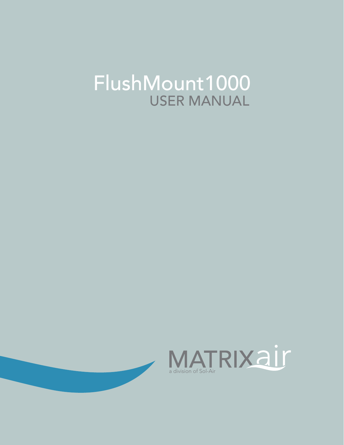# FlushMount1000 **USER MANUAL**



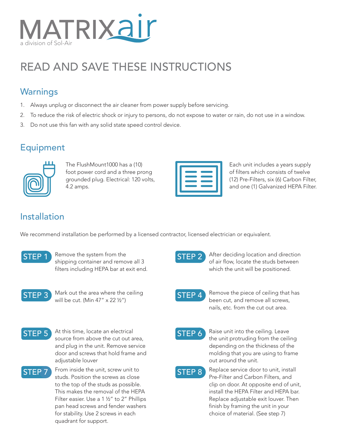

## READ AND SAVE THESE INSTRUCTIONS

#### **Warnings**

- 1. Always unplug or disconnect the air cleaner from power supply before servicing.
- 2. To reduce the risk of electric shock or injury to persons, do not expose to water or rain, do not use in a window.
- 3. Do not use this fan with any solid state speed control device.

#### **Equipment**



The FlushMount1000 has a (10) foot power cord and a three prong grounded plug. Electrical: 120 volts, 4.2 amps.

Each unit includes a years supply of filters which consists of twelve (12) Pre-Filters, six (6) Carbon Filter, and one (1) Galvanized HEPA Filter.

### Installation

We recommend installation be performed by a licensed contractor, licensed electrician or equivalent.



**STEP 1** Remove the system from the shipping container and remove all 3 filters including HEPA bar at exit end.



**STEP 3** Mark out the area where the ceiling<br>will be cut. (Min 47" x 22  $\frac{1}{2}$ ")



**STEP 5** At this time, locate an electrical source from above the cut out area, and plug in the unit. Remove service door and screws that hold frame and adiustable louver



**STEP 7** From inside the unit, screw unit to studs. Position the screws as close to the top of the studs as possible. This makes the removal of the HEPA Filter easier. Use a 1 ½" to 2" Phillips pan head screws and fender washers for stability. Use 2 screws in each quadrant for support.



**STEP 2** After deciding location and direction of air flow, locate the studs between which the unit will be positioned.



STEP 4 Remove the piece of ceiling that has been cut, and remove all screws, nails, etc. from the cut out area.



STEP 6 Raise unit into the ceiling. Leave the unit protruding from the ceiling depending on the thickness of the molding that you are using to frame out around the unit.



**STEP 8** Replace service door to unit, install Pre-Filter and Carbon Filters, and clip on door. At opposite end of unit, install the HEPA Filter and HEPA bar. Replace adjustable exit louver. Then finish by framing the unit in your choice of material. (See step 7)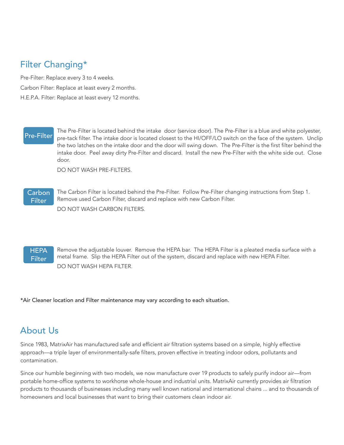### Filter Changing\*

Pre-Filter: Replace every 3 to 4 weeks. Carbon Filter: Replace at least every 2 months. H.E.P.A. Filter: Replace at least every 12 months.

The Pre-Filter is located behind the intake door (service door). The Pre-Filter is a blue and white polyester,<br>Pre-Filter Located filter The intake door is located closest to the HI/OEE/LO switch on the face of the system pre-tack filter. The intake door is located closest to the HI/OFF/LO switch on the face of the system. Unclip the two latches on the intake door and the door will swing down. The Pre-Filter is the first filter behind the intake door. Peel away dirty Pre-Filter and discard. Install the new Pre-Filter with the white side out. Close door.

DO NOT WASH PRE-FILTERS.

#### Carbon **Filter**

The Carbon Filter is located behind the Pre-Filter. Follow Pre-Filter changing instructions from Step 1. Remove used Carbon Filter, discard and replace with new Carbon Filter. DO NOT WASH CARBON FILTERS.

**HEPA** Filter Remove the adjustable louver. Remove the HEPA bar. The HEPA Filter is a pleated media surface with a metal frame. Slip the HEPA Filter out of the system, discard and replace with new HEPA Filter. DO NOT WASH HEPA FILTER.

\*Air Cleaner location and Filter maintenance may vary according to each situation.

#### About Us

Since 1983, MatrixAir has manufactured safe and efficient air filtration systems based on a simple, highly effective approach—a triple layer of environmentally-safe filters, proven effective in treating indoor odors, pollutants and contamination.

Since our humble beginning with two models, we now manufacture over 19 products to safely purify indoor air—from portable home-office systems to workhorse whole-house and industrial units. MatrixAir currently provides air filtration products to thousands of businesses including many well known national and international chains ... and to thousands of homeowners and local businesses that want to bring their customers clean indoor air.